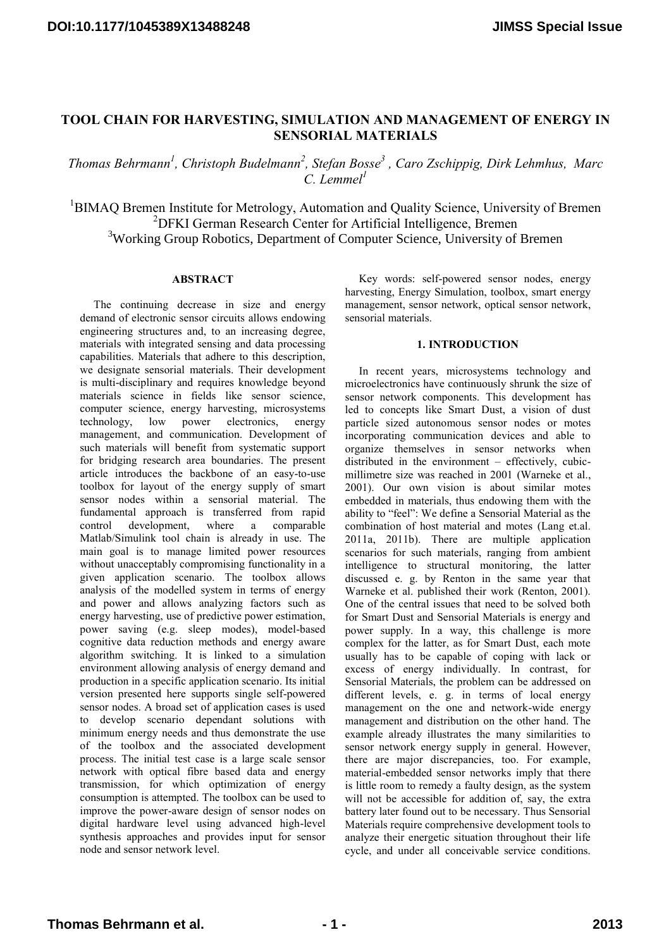# **TOOL CHAIN FOR HARVESTING, SIMULATION AND MANAGEMENT OF ENERGY IN SENSORIAL MATERIALS**

*Thomas Behrmann<sup>1</sup> , Christoph Budelmann<sup>2</sup> , Stefan Bosse<sup>3</sup> , Caro Zschippig, Dirk Lehmhus, Marc*  $C$  *Lemmel*<sup>1</sup>

<sup>1</sup>BIMAO Bremen Institute for Metrology, Automation and Quality Science, University of Bremen <sup>2</sup>DFKI German Research Center for Artificial Intelligence, Bremen <sup>3</sup>Working Group Robotics, Department of Computer Science, University of Bremen

# **ABSTRACT**

The continuing decrease in size and energy demand of electronic sensor circuits allows endowing engineering structures and, to an increasing degree, materials with integrated sensing and data processing capabilities. Materials that adhere to this description, we designate sensorial materials. Their development is multi-disciplinary and requires knowledge beyond materials science in fields like sensor science, computer science, energy harvesting, microsystems technology, low power electronics, energy management, and communication. Development of such materials will benefit from systematic support for bridging research area boundaries. The present article introduces the backbone of an easy-to-use toolbox for layout of the energy supply of smart sensor nodes within a sensorial material. The fundamental approach is transferred from rapid control development, where a comparable Matlab/Simulink tool chain is already in use. The main goal is to manage limited power resources without unacceptably compromising functionality in a given application scenario. The toolbox allows analysis of the modelled system in terms of energy and power and allows analyzing factors such as energy harvesting, use of predictive power estimation, power saving (e.g. sleep modes), model-based cognitive data reduction methods and energy aware algorithm switching. It is linked to a simulation environment allowing analysis of energy demand and production in a specific application scenario. Its initial version presented here supports single self-powered sensor nodes. A broad set of application cases is used to develop scenario dependant solutions with minimum energy needs and thus demonstrate the use of the toolbox and the associated development process. The initial test case is a large scale sensor network with optical fibre based data and energy transmission, for which optimization of energy consumption is attempted. The toolbox can be used to improve the power-aware design of sensor nodes on digital hardware level using advanced high-level synthesis approaches and provides input for sensor node and sensor network level.

Key words: self-powered sensor nodes, energy harvesting, Energy Simulation, toolbox, smart energy management, sensor network, optical sensor network, sensorial materials.

## **1. INTRODUCTION**

In recent years, microsystems technology and microelectronics have continuously shrunk the size of sensor network components. This development has led to concepts like Smart Dust, a vision of dust particle sized autonomous sensor nodes or motes incorporating communication devices and able to organize themselves in sensor networks when distributed in the environment – effectively, cubicmillimetre size was reached in 2001 (Warneke et al., 2001). Our own vision is about similar motes embedded in materials, thus endowing them with the ability to "feel": We define a Sensorial Material as the combination of host material and motes (Lang et.al. 2011a, 2011b). There are multiple application scenarios for such materials, ranging from ambient intelligence to structural monitoring, the latter discussed e. g. by Renton in the same year that Warneke et al. published their work (Renton, 2001). One of the central issues that need to be solved both for Smart Dust and Sensorial Materials is energy and power supply. In a way, this challenge is more complex for the latter, as for Smart Dust, each mote usually has to be capable of coping with lack or excess of energy individually. In contrast, for Sensorial Materials, the problem can be addressed on different levels, e. g. in terms of local energy management on the one and network-wide energy management and distribution on the other hand. The example already illustrates the many similarities to sensor network energy supply in general. However, there are major discrepancies, too. For example, material-embedded sensor networks imply that there is little room to remedy a faulty design, as the system will not be accessible for addition of, say, the extra battery later found out to be necessary. Thus Sensorial Materials require comprehensive development tools to analyze their energetic situation throughout their life cycle, and under all conceivable service conditions.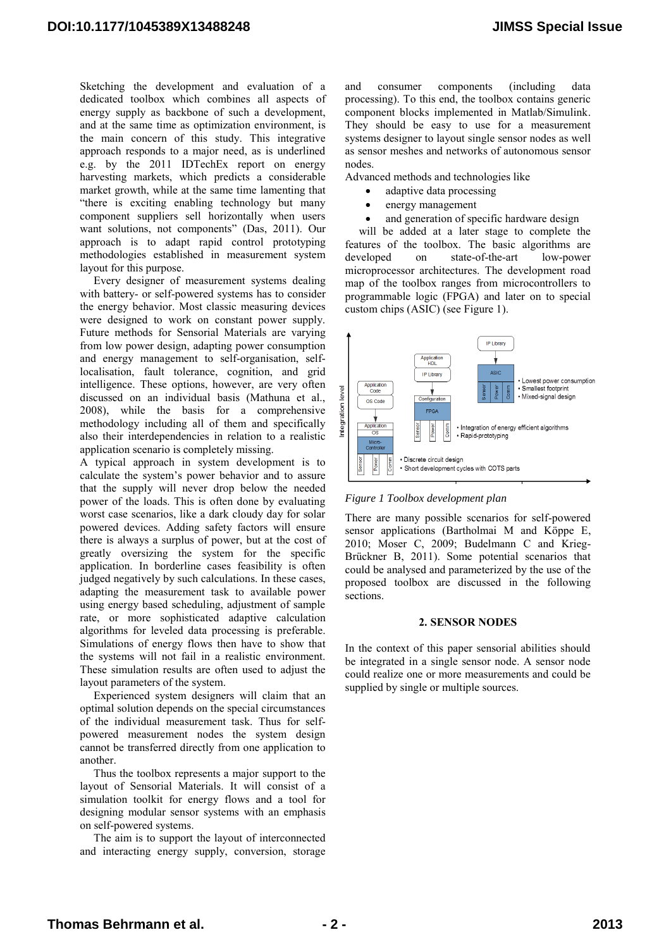Sketching the development and evaluation of a dedicated toolbox which combines all aspects of energy supply as backbone of such a development, and at the same time as optimization environment, is the main concern of this study. This integrative approach responds to a major need, as is underlined e.g. by the 2011 IDTechEx report on energy harvesting markets, which predicts a considerable market growth, while at the same time lamenting that "there is exciting enabling technology but many component suppliers sell horizontally when users want solutions, not components" (Das, 2011). Our approach is to adapt rapid control prototyping methodologies established in measurement system layout for this purpose.

Every designer of measurement systems dealing with battery- or self-powered systems has to consider the energy behavior. Most classic measuring devices were designed to work on constant power supply. Future methods for Sensorial Materials are varying from low power design, adapting power consumption and energy management to self-organisation, selflocalisation, fault tolerance, cognition, and grid intelligence. These options, however, are very often discussed on an individual basis (Mathuna et al., 2008), while the basis for a comprehensive methodology including all of them and specifically also their interdependencies in relation to a realistic application scenario is completely missing.

A typical approach in system development is to calculate the system's power behavior and to assure that the supply will never drop below the needed power of the loads. This is often done by evaluating worst case scenarios, like a dark cloudy day for solar powered devices. Adding safety factors will ensure there is always a surplus of power, but at the cost of greatly oversizing the system for the specific application. In borderline cases feasibility is often judged negatively by such calculations. In these cases, adapting the measurement task to available power using energy based scheduling, adjustment of sample rate, or more sophisticated adaptive calculation algorithms for leveled data processing is preferable. Simulations of energy flows then have to show that the systems will not fail in a realistic environment. These simulation results are often used to adjust the layout parameters of the system.

Experienced system designers will claim that an optimal solution depends on the special circumstances of the individual measurement task. Thus for selfpowered measurement nodes the system design cannot be transferred directly from one application to another.

Thus the toolbox represents a major support to the layout of Sensorial Materials. It will consist of a simulation toolkit for energy flows and a tool for designing modular sensor systems with an emphasis on self-powered systems.

The aim is to support the layout of interconnected and interacting energy supply, conversion, storage

and consumer components (including data processing). To this end, the toolbox contains generic component blocks implemented in Matlab/Simulink. They should be easy to use for a measurement systems designer to layout single sensor nodes as well as sensor meshes and networks of autonomous sensor nodes.

Advanced methods and technologies like

- adaptive data processing
- energy management
- and generation of specific hardware design

will be added at a later stage to complete the features of the toolbox. The basic algorithms are developed on state-of-the-art low-power microprocessor architectures. The development road map of the toolbox ranges from microcontrollers to programmable logic (FPGA) and later on to special custom chips (ASIC) (see Figure 1).



*Figure 1 Toolbox development plan*

There are many possible scenarios for self-powered sensor applications (Bartholmai M and Köppe E, 2010; Moser C, 2009; Budelmann C and Krieg-Brückner B, 2011). Some potential scenarios that could be analysed and parameterized by the use of the proposed toolbox are discussed in the following sections.

## **2. SENSOR NODES**

In the context of this paper sensorial abilities should be integrated in a single sensor node. A sensor node could realize one or more measurements and could be supplied by single or multiple sources.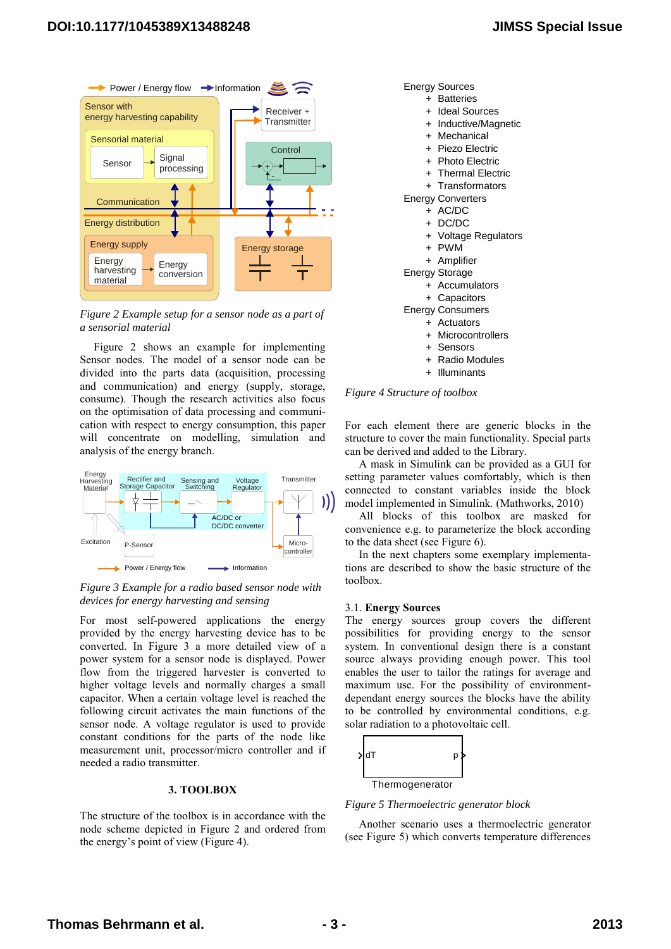

<span id="page-2-0"></span>*Figure 2 Example setup for a sensor node as a part of a sensorial material*

[Figure 2](#page-2-0) shows an example for implementing Sensor nodes. The model of a sensor node can be divided into the parts data (acquisition, processing and communication) and energy (supply, storage, consume). Though the research activities also focus on the optimisation of data processing and communication with respect to energy consumption, this paper will concentrate on modelling, simulation and analysis of the energy branch.



<span id="page-2-1"></span>*Figure 3 Example for a radio based sensor node with devices for energy harvesting and sensing*

For most self-powered applications the energy provided by the energy harvesting device has to be converted. In [Figure 3](#page-2-1) a more detailed view of a power system for a sensor node is displayed. Power flow from the triggered harvester is converted to higher voltage levels and normally charges a small capacitor. When a certain voltage level is reached the following circuit activates the main functions of the sensor node. A voltage regulator is used to provide constant conditions for the parts of the node like measurement unit, processor/micro controller and if needed a radio transmitter.

# **3. TOOLBOX**

The structure of the toolbox is in accordance with the node scheme depicted in [Figure 2](#page-2-0) and ordered from the energy's point of view ([Figure](#page-2-2) 4).

Energy Sources

- + Batteries
- + Ideal Sources
- + Inductive/Magnetic
- + Mechanical
- + Piezo Electric
- + Photo Electric
- + Thermal Electric
- + Transformators

Energy Converters

- + AC/DC
- + DC/DC
- + Voltage Regulators
- + PWM
- + Amplifier
- Energy Storage
	- + Accumulators
	- + Capacitors
- Energy Consumers
	- + Actuators
	- + Microcontrollers
	- + Sensors
	- + Radio Modules
	- + Illuminants

<span id="page-2-2"></span>*Figure 4 Structure of toolbox*

For each element there are generic blocks in the structure to cover the main functionality. Special parts can be derived and added to the Library.

A mask in Simulink can be provided as a GUI for setting parameter values comfortably, which is then connected to constant variables inside the block model implemented in Simulink. (Mathworks, 2010)

All blocks of this toolbox are masked for convenience e.g. to parameterize the block according to the data sheet (see [Figure 6\)](#page-3-0).

In the next chapters some exemplary implementations are described to show the basic structure of the toolbox.

#### 3.1. **Energy Sources**

The energy sources group covers the different possibilities for providing energy to the sensor system. In conventional design there is a constant source always providing enough power. This tool enables the user to tailor the ratings for average and maximum use. For the possibility of environmentdependant energy sources the blocks have the ability to be controlled by environmental conditions, e.g. solar radiation to a photovoltaic cell.



<span id="page-2-3"></span>*Figure 5 Thermoelectric generator block*

Another scenario uses a thermoelectric generator (see [Figure 5\)](#page-2-3) which converts temperature differences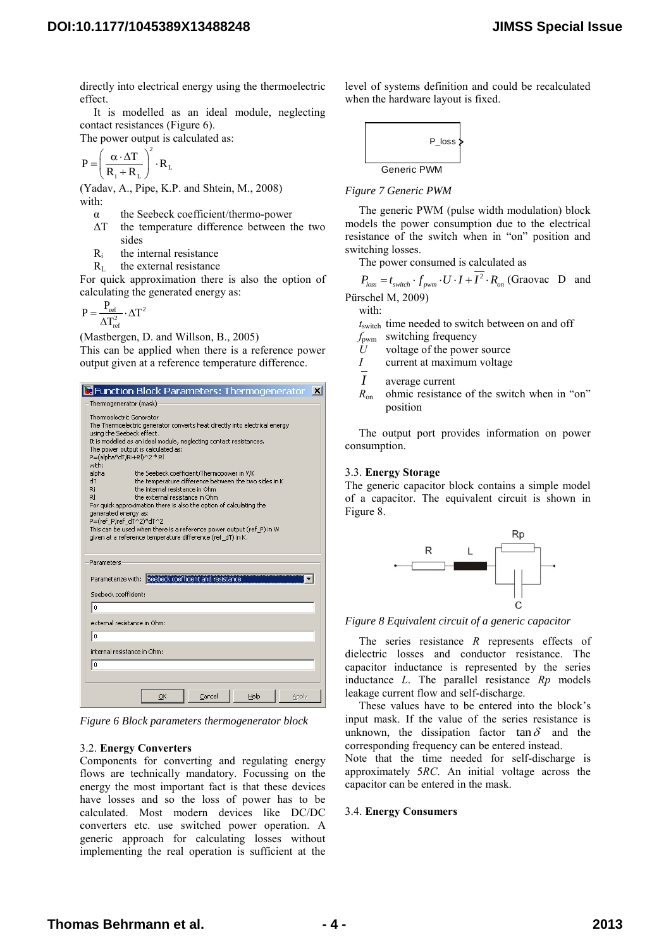directly into electrical energy using the thermoelectric effect.

It is modelled as an ideal module, neglecting contact resistances [\(Figure 6\)](#page-3-0).

The power output is calculated as:

$$
P = \left(\frac{\alpha \cdot \Delta T}{R_{i} + R_{L}}\right)^{2} \cdot R_{L}
$$

(Yadav, A., Pipe, K.P. and Shtein, M., 2008) with:

- α the Seebeck coefficient/thermo-power
- ΔT the temperature difference between the two sides
- Ri the internal resistance
- $R<sub>L</sub>$  the external resistance

For quick approximation there is also the option of calculating the generated energy as:

$$
P=\frac{P_{\rm ref}}{\Delta T_{\rm ref}^2}\cdot \Delta T^2
$$

(Mastbergen, D. and Willson, B., 2005)

This can be applied when there is a reference power output given at a reference temperature difference.



*Figure 6 Block parameters thermogenerator block*

## <span id="page-3-0"></span>3.2. **Energy Converters**

Components for converting and regulating energy flows are technically mandatory. Focussing on the energy the most important fact is that these devices have losses and so the loss of power has to be calculated. Most modern devices like DC/DC converters etc. use switched power operation. A generic approach for calculating losses without implementing the real operation is sufficient at the level of systems definition and could be recalculated when the hardware layout is fixed.



## *Figure 7 Generic PWM*

The generic PWM (pulse width modulation) block models the power consumption due to the electrical resistance of the switch when in "on" position and switching losses.

The power consumed is calculated as

 $P_{loss} = t_{switch} \cdot f_{pwm} \cdot U \cdot I + \overline{I^2} \cdot R_{on}$  (Graovac D and Pürschel M, 2009)

with:

*t*switch time needed to switch between on and off

- *f*pwm switching frequency
- $\dot{U}$  voltage of the power source
- *I* current at maximum voltage
- *I* average current
- *R*<sub>on</sub> ohmic resistance of the switch when in "on" position

The output port provides information on power consumption.

### 3.3. **Energy Storage**

The generic capacitor block contains a simple model of a capacitor. The equivalent circuit is shown in [Figure 8.](#page-3-1)



<span id="page-3-1"></span>*Figure 8 Equivalent circuit of a generic capacitor*

The series resistance *R* represents effects of dielectric losses and conductor resistance. The capacitor inductance is represented by the series inductance *L*. The parallel resistance *Rp* models leakage current flow and self-discharge.

These values have to be entered into the block's input mask. If the value of the series resistance is unknown, the dissipation factor  $\tan \delta$  and the corresponding frequency can be entered instead.

Note that the time needed for self-discharge is approximately 5*RC*. An initial voltage across the capacitor can be entered in the mask.

### 3.4. **Energy Consumers**

# **Thomas Behrmann et al. - 4 - 2013**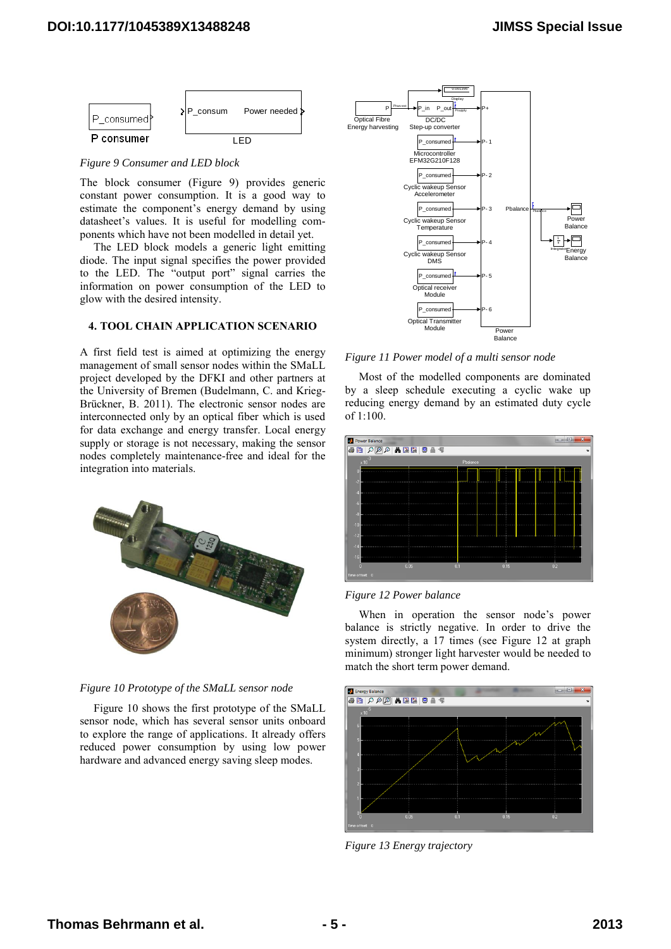

<span id="page-4-0"></span>*Figure 9 Consumer and LED block*

The block consumer [\(Figure 9\)](#page-4-0) provides generic constant power consumption. It is a good way to estimate the component's energy demand by using datasheet's values. It is useful for modelling components which have not been modelled in detail yet.

The LED block models a generic light emitting diode. The input signal specifies the power provided to the LED. The "output port" signal carries the information on power consumption of the LED to glow with the desired intensity.

## **4. TOOL CHAIN APPLICATION SCENARIO**

A first field test is aimed at optimizing the energy management of small sensor nodes within the SMaLL project developed by the DFKI and other partners at the University of Bremen (Budelmann, C. and Krieg-Brückner, B. 2011). The electronic sensor nodes are interconnected only by an optical fiber which is used for data exchange and energy transfer. Local energy supply or storage is not necessary, making the sensor nodes completely maintenance-free and ideal for the integration into materials.





Figure 10 shows the first prototype of the SMaLL sensor node, which has several sensor units onboard to explore the range of applications. It already offers reduced power consumption by using low power hardware and advanced energy saving sleep modes.



*Figure 11 Power model of a multi sensor node*

Most of the modelled components are dominated by a sleep schedule executing a cyclic wake up reducing energy demand by an estimated duty cycle of 1:100.



# *Figure 12 Power balance*

When in operation the sensor node's power balance is strictly negative. In order to drive the system directly, a 17 times (see Figure 12 at graph minimum) stronger light harvester would be needed to match the short term power demand.



*Figure 13 Energy trajectory*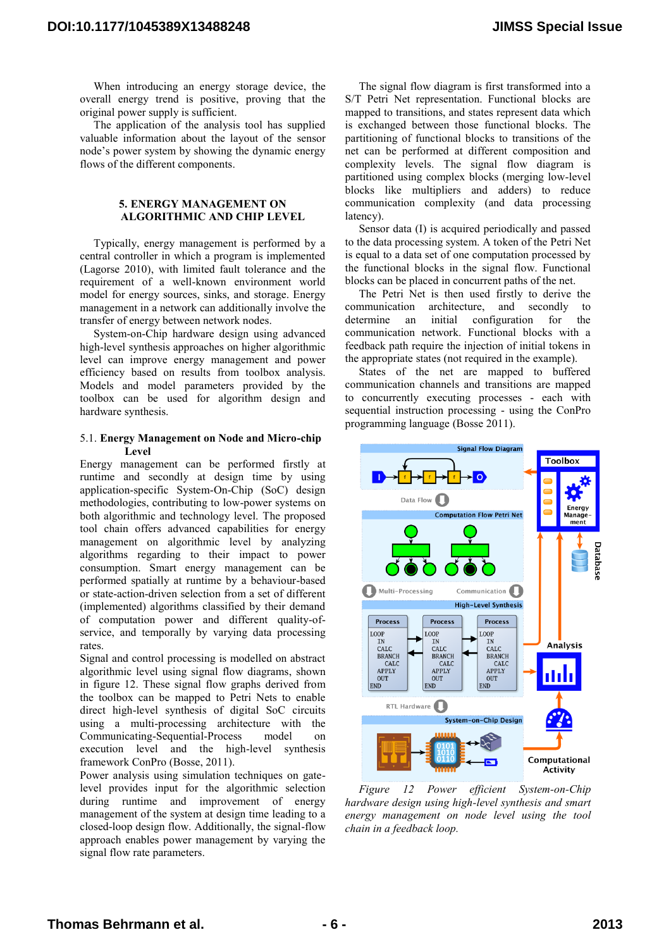When introducing an energy storage device, the overall energy trend is positive, proving that the original power supply is sufficient.

The application of the analysis tool has supplied valuable information about the layout of the sensor node's power system by showing the dynamic energy flows of the different components.

### **5. ENERGY MANAGEMENT ON ALGORITHMIC AND CHIP LEVEL**

Typically, energy management is performed by a central controller in which a program is implemented (Lagorse 2010), with limited fault tolerance and the requirement of a well-known environment world model for energy sources, sinks, and storage. Energy management in a network can additionally involve the transfer of energy between network nodes.

System-on-Chip hardware design using advanced high-level synthesis approaches on higher algorithmic level can improve energy management and power efficiency based on results from toolbox analysis. Models and model parameters provided by the toolbox can be used for algorithm design and hardware synthesis.

### 5.1. **Energy Management on Node and Micro-chip Level**

Energy management can be performed firstly at runtime and secondly at design time by using application-specific System-On-Chip (SoC) design methodologies, contributing to low-power systems on both algorithmic and technology level. The proposed tool chain offers advanced capabilities for energy management on algorithmic level by analyzing algorithms regarding to their impact to power consumption. Smart energy management can be performed spatially at runtime by a behaviour-based or state-action-driven selection from a set of different (implemented) algorithms classified by their demand of computation power and different quality-ofservice, and temporally by varying data processing rates.

Signal and control processing is modelled on abstract algorithmic level using signal flow diagrams, shown in figure 12. These signal flow graphs derived from the toolbox can be mapped to Petri Nets to enable direct high-level synthesis of digital SoC circuits using a multi-processing architecture with the Communicating-Sequential-Process model on execution level and the high-level synthesis framework ConPro (Bosse, 2011).

Power analysis using simulation techniques on gatelevel provides input for the algorithmic selection during runtime and improvement of energy management of the system at design time leading to a closed-loop design flow. Additionally, the signal-flow approach enables power management by varying the signal flow rate parameters.

The signal flow diagram is first transformed into a S/T Petri Net representation. Functional blocks are mapped to transitions, and states represent data which is exchanged between those functional blocks. The partitioning of functional blocks to transitions of the net can be performed at different composition and complexity levels. The signal flow diagram is partitioned using complex blocks (merging low-level blocks like multipliers and adders) to reduce communication complexity (and data processing latency).

Sensor data (I) is acquired periodically and passed to the data processing system. A token of the Petri Net is equal to a data set of one computation processed by the functional blocks in the signal flow. Functional blocks can be placed in concurrent paths of the net.

The Petri Net is then used firstly to derive the communication architecture, and secondly to determine an initial configuration for the communication network. Functional blocks with a feedback path require the injection of initial tokens in the appropriate states (not required in the example).

States of the net are mapped to buffered communication channels and transitions are mapped to concurrently executing processes - each with sequential instruction processing - using the ConPro programming language (Bosse 2011).



*Figure 12 Power efficient System-on-Chip hardware design using high-level synthesis and smart energy management on node level using the tool chain in a feedback loop.*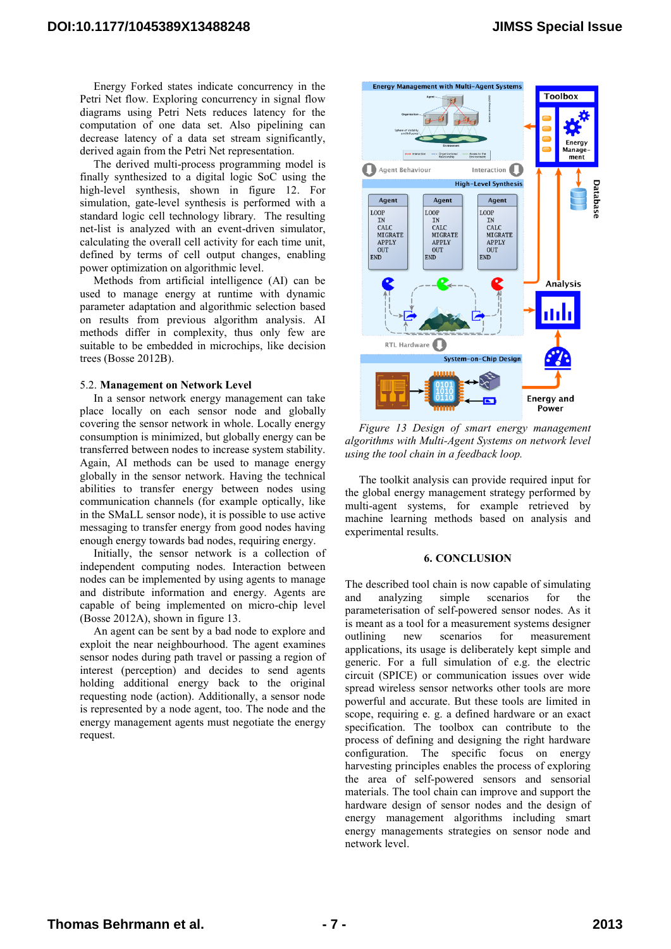Energy Forked states indicate concurrency in the Petri Net flow. Exploring concurrency in signal flow diagrams using Petri Nets reduces latency for the computation of one data set. Also pipelining can decrease latency of a data set stream significantly, derived again from the Petri Net representation.

The derived multi-process programming model is finally synthesized to a digital logic SoC using the high-level synthesis, shown in figure 12. For simulation, gate-level synthesis is performed with a standard logic cell technology library. The resulting net-list is analyzed with an event-driven simulator, calculating the overall cell activity for each time unit, defined by terms of cell output changes, enabling power optimization on algorithmic level.

Methods from artificial intelligence (AI) can be used to manage energy at runtime with dynamic parameter adaptation and algorithmic selection based on results from previous algorithm analysis. AI methods differ in complexity, thus only few are suitable to be embedded in microchips, like decision trees (Bosse 2012B).

### 5.2. **Management on Network Level**

In a sensor network energy management can take place locally on each sensor node and globally covering the sensor network in whole. Locally energy consumption is minimized, but globally energy can be transferred between nodes to increase system stability. Again, AI methods can be used to manage energy globally in the sensor network. Having the technical abilities to transfer energy between nodes using communication channels (for example optically, like in the SMaLL sensor node), it is possible to use active messaging to transfer energy from good nodes having enough energy towards bad nodes, requiring energy.

Initially, the sensor network is a collection of independent computing nodes. Interaction between nodes can be implemented by using agents to manage and distribute information and energy. Agents are capable of being implemented on micro-chip level (Bosse 2012A), shown in figure 13.

An agent can be sent by a bad node to explore and exploit the near neighbourhood. The agent examines sensor nodes during path travel or passing a region of interest (perception) and decides to send agents holding additional energy back to the original requesting node (action). Additionally, a sensor node is represented by a node agent, too. The node and the energy management agents must negotiate the energy request.



*Figure 13 Design of smart energy management algorithms with Multi-Agent Systems on network level using the tool chain in a feedback loop.*

The toolkit analysis can provide required input for the global energy management strategy performed by multi-agent systems, for example retrieved by machine learning methods based on analysis and experimental results.

### **6. CONCLUSION**

The described tool chain is now capable of simulating and analyzing simple scenarios for the parameterisation of self-powered sensor nodes. As it is meant as a tool for a measurement systems designer outlining new scenarios for measurement applications, its usage is deliberately kept simple and generic. For a full simulation of e.g. the electric circuit (SPICE) or communication issues over wide spread wireless sensor networks other tools are more powerful and accurate. But these tools are limited in scope, requiring e. g. a defined hardware or an exact specification. The toolbox can contribute to the process of defining and designing the right hardware configuration. The specific focus on energy harvesting principles enables the process of exploring the area of self-powered sensors and sensorial materials. The tool chain can improve and support the hardware design of sensor nodes and the design of energy management algorithms including smart energy managements strategies on sensor node and network level.